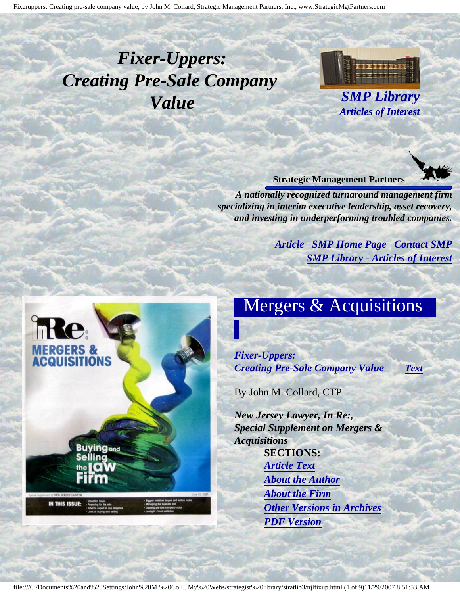# <span id="page-0-4"></span><span id="page-0-3"></span>*Fixer-Uppers: Creating Pre-Sale Company Value SMP Library*



*Articles of Interest*

#### **Strategic Management Partners**

*A nationally recognized turnaround management firm specializing in interim executive leadership, asset recovery, and investing in underperforming troubled companies.*

> *[Article](#page-0-0) [SMP Home Page](http://members.aol.com/strategist/home.html#TOP) [Contact SMP](#page-8-0) [SMP Library - Articles of Interest](http://members.aol.com/stratlib3/libindx.html#TOP)*

# <span id="page-0-2"></span><span id="page-0-1"></span><span id="page-0-0"></span>ng<sub>and</sub> **IN THIS ISSUE**

## Mergers & Acquisitions

*Fixer-Uppers: Creating Pre-Sale Company Value [Text](#page-0-1)*

By John M. Collard, CTP

*New Jersey Lawyer, In Re:, Special Supplement on Mergers & Acquisitions* **SECTIONS:** *[Article Text](#page-0-1) [About the Author](#page-7-0) [About the Firm](#page-7-1) [Other Versions in Archives](#page-6-0) [PDF Version](http://members.aol.com/stratlib3/njlfixup.pdf)*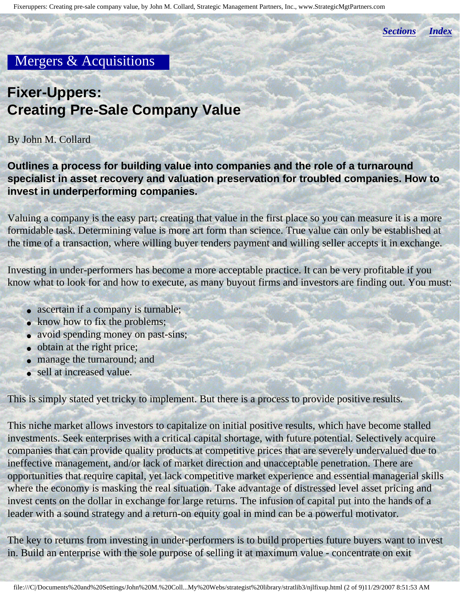*[Sections](#page-0-2) [Index](#page-0-3)*

#### Mergers & Acquisitions

## **Fixer-Uppers: Creating Pre-Sale Company Value**

#### By John M. Collard

**Outlines a process for building value into companies and the role of a turnaround specialist in asset recovery and valuation preservation for troubled companies. How to invest in underperforming companies.**

Valuing a company is the easy part; creating that value in the first place so you can measure it is a more formidable task. Determining value is more art form than science. True value can only be established at the time of a transaction, where willing buyer tenders payment and willing seller accepts it in exchange.

Investing in under-performers has become a more acceptable practice. It can be very profitable if you know what to look for and how to execute, as many buyout firms and investors are finding out. You must:

- ascertain if a company is turnable;
- know how to fix the problems;
- avoid spending money on past-sins;
- obtain at the right price;
- manage the turnaround; and
- sell at increased value.

This is simply stated yet tricky to implement. But there is a process to provide positive results.

This niche market allows investors to capitalize on initial positive results, which have become stalled investments. Seek enterprises with a critical capital shortage, with future potential. Selectively acquire companies that can provide quality products at competitive prices that are severely undervalued due to ineffective management, and/or lack of market direction and unacceptable penetration. There are opportunities that require capital, yet lack competitive market experience and essential managerial skills where the economy is masking the real situation. Take advantage of distressed level asset pricing and invest cents on the dollar in exchange for large returns. The infusion of capital put into the hands of a leader with a sound strategy and a return-on equity goal in mind can be a powerful motivator.

The key to returns from investing in under-performers is to build properties future buyers want to invest in. Build an enterprise with the sole purpose of selling it at maximum value - concentrate on exit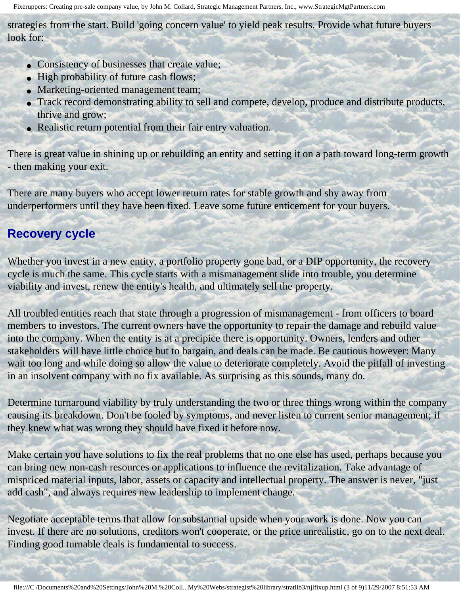strategies from the start. Build 'going concern value' to yield peak results. Provide what future buyers look for:

- Consistency of businesses that create value;
- High probability of future cash flows;
- Marketing-oriented management team;
- Track record demonstrating ability to sell and compete, develop, produce and distribute products, thrive and grow;
- Realistic return potential from their fair entry valuation.

There is great value in shining up or rebuilding an entity and setting it on a path toward long-term growth - then making your exit.

There are many buyers who accept lower return rates for stable growth and shy away from underperformers until they have been fixed. Leave some future enticement for your buyers.

#### **Recovery cycle**

Whether you invest in a new entity, a portfolio property gone bad, or a DIP opportunity, the recovery cycle is much the same. This cycle starts with a mismanagement slide into trouble, you determine viability and invest, renew the entity's health, and ultimately sell the property.

All troubled entities reach that state through a progression of mismanagement - from officers to board members to investors. The current owners have the opportunity to repair the damage and rebuild value into the company. When the entity is at a precipice there is opportunity. Owners, lenders and other stakeholders will have little choice but to bargain, and deals can be made. Be cautious however: Many wait too long and while doing so allow the value to deteriorate completely. Avoid the pitfall of investing in an insolvent company with no fix available. As surprising as this sounds, many do.

Determine turnaround viability by truly understanding the two or three things wrong within the company causing its breakdown. Don't be fooled by symptoms, and never listen to current senior management; if they knew what was wrong they should have fixed it before now.

Make certain you have solutions to fix the real problems that no one else has used, perhaps because you can bring new non-cash resources or applications to influence the revitalization. Take advantage of mispriced material inputs, labor, assets or capacity and intellectual property. The answer is never, "just add cash", and always requires new leadership to implement change.

Negotiate acceptable terms that allow for substantial upside when your work is done. Now you can invest. If there are no solutions, creditors won't cooperate, or the price unrealistic, go on to the next deal. Finding good turnable deals is fundamental to success.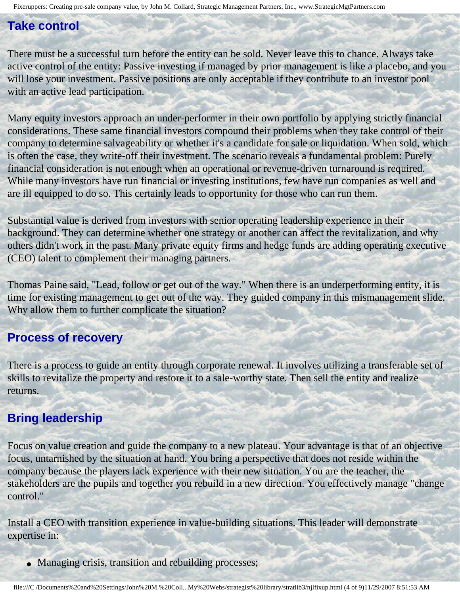#### **Take control**

There must be a successful turn before the entity can be sold. Never leave this to chance. Always take active control of the entity: Passive investing if managed by prior management is like a placebo, and you will lose your investment. Passive positions are only acceptable if they contribute to an investor pool with an active lead participation.

Many equity investors approach an under-performer in their own portfolio by applying strictly financial considerations. These same financial investors compound their problems when they take control of their company to determine salvageability or whether it's a candidate for sale or liquidation. When sold, which is often the case, they write-off their investment. The scenario reveals a fundamental problem: Purely financial consideration is not enough when an operational or revenue-driven turnaround is required. While many investors have run financial or investing institutions, few have run companies as well and are ill equipped to do so. This certainly leads to opportunity for those who can run them.

Substantial value is derived from investors with senior operating leadership experience in their background. They can determine whether one strategy or another can affect the revitalization, and why others didn't work in the past. Many private equity firms and hedge funds are adding operating executive (CEO) talent to complement their managing partners.

Thomas Paine said, "Lead, follow or get out of the way." When there is an underperforming entity, it is time for existing management to get out of the way. They guided company in this mismanagement slide. Why allow them to further complicate the situation?

#### **Process of recovery**

There is a process to guide an entity through corporate renewal. It involves utilizing a transferable set of skills to revitalize the property and restore it to a sale-worthy state. Then sell the entity and realize returns.

#### **Bring leadership**

Focus on value creation and guide the company to a new plateau. Your advantage is that of an objective focus, untarnished by the situation at hand. You bring a perspective that does not reside within the company because the players lack experience with their new situation. You are the teacher, the stakeholders are the pupils and together you rebuild in a new direction. You effectively manage "change control."

Install a CEO with transition experience in value-building situations. This leader will demonstrate expertise in:

• Managing crisis, transition and rebuilding processes;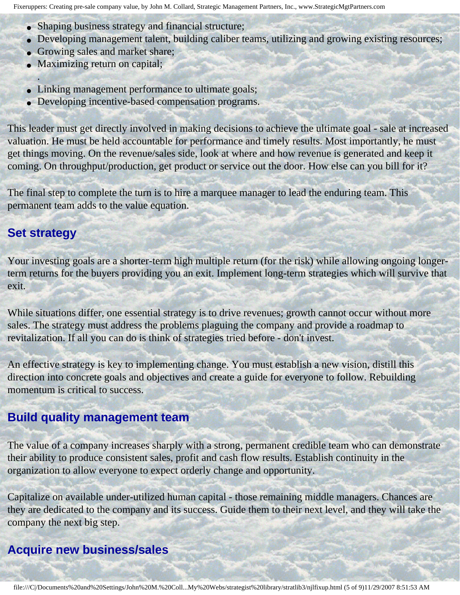- Shaping business strategy and financial structure;
- Developing management talent, building caliber teams, utilizing and growing existing resources;
- Growing sales and market share;
- Maximizing return on capital;
- Linking management performance to ultimate goals;
- Developing incentive-based compensation programs.

This leader must get directly involved in making decisions to achieve the ultimate goal - sale at increased valuation. He must be held accountable for performance and timely results. Most importantly, he must get things moving. On the revenue/sales side, look at where and how revenue is generated and keep it coming. On throughput/production, get product or service out the door. How else can you bill for it?

The final step to complete the turn is to hire a marquee manager to lead the enduring team. This permanent team adds to the value equation.

#### **Set strategy**

.

Your investing goals are a shorter-term high multiple return (for the risk) while allowing ongoing longerterm returns for the buyers providing you an exit. Implement long-term strategies which will survive that exit.

While situations differ, one essential strategy is to drive revenues; growth cannot occur without more sales. The strategy must address the problems plaguing the company and provide a roadmap to revitalization. If all you can do is think of strategies tried before - don't invest.

An effective strategy is key to implementing change. You must establish a new vision, distill this direction into concrete goals and objectives and create a guide for everyone to follow. Rebuilding momentum is critical to success.

#### **Build quality management team**

The value of a company increases sharply with a strong, permanent credible team who can demonstrate their ability to produce consistent sales, profit and cash flow results. Establish continuity in the organization to allow everyone to expect orderly change and opportunity.

Capitalize on available under-utilized human capital - those remaining middle managers. Chances are they are dedicated to the company and its success. Guide them to their next level, and they will take the company the next big step.

#### **Acquire new business/sales**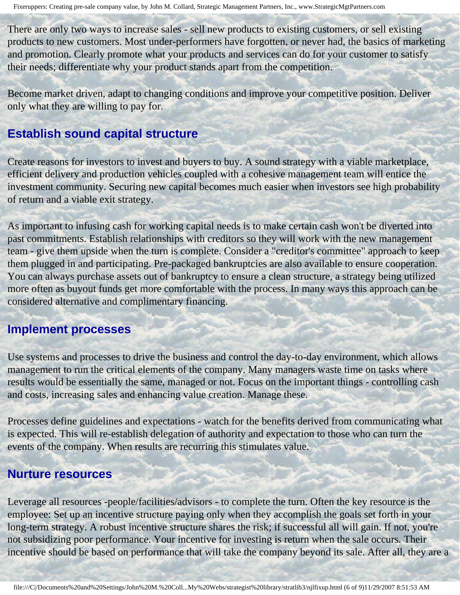There are only two ways to increase sales - sell new products to existing customers, or sell existing products to new customers. Most under-performers have forgotten, or never had, the basics of marketing and promotion. Clearly promote what your products and services can do for your customer to satisfy their needs; differentiate why your product stands apart from the competition.

Become market driven, adapt to changing conditions and improve your competitive position. Deliver only what they are willing to pay for.

#### **Establish sound capital structure**

Create reasons for investors to invest and buyers to buy. A sound strategy with a viable marketplace, efficient delivery and production vehicles coupled with a cohesive management team will entice the investment community. Securing new capital becomes much easier when investors see high probability of return and a viable exit strategy.

As important to infusing cash for working capital needs is to make certain cash won't be diverted into past commitments. Establish relationships with creditors so they will work with the new management team - give them upside when the turn is complete. Consider a "creditor's committee" approach to keep them plugged in and participating. Pre-packaged bankruptcies are also available to ensure cooperation. You can always purchase assets out of bankruptcy to ensure a clean structure, a strategy being utilized more often as buyout funds get more comfortable with the process. In many ways this approach can be considered alternative and complimentary financing.

#### **Implement processes**

Use systems and processes to drive the business and control the day-to-day environment, which allows management to run the critical elements of the company. Many managers waste time on tasks where results would be essentially the same, managed or not. Focus on the important things - controlling cash and costs, increasing sales and enhancing value creation. Manage these.

Processes define guidelines and expectations - watch for the benefits derived from communicating what is expected. This will re-establish delegation of authority and expectation to those who can turn the events of the company. When results are recurring this stimulates value.

#### **Nurture resources**

Leverage all resources -people/facilities/advisors - to complete the turn. Often the key resource is the employee: Set up an incentive structure paying only when they accomplish the goals set forth in your long-term strategy. A robust incentive structure shares the risk; if successful all will gain. If not, you're not subsidizing poor performance. Your incentive for investing is return when the sale occurs. Their incentive should be based on performance that will take the company beyond its sale. After all, they are a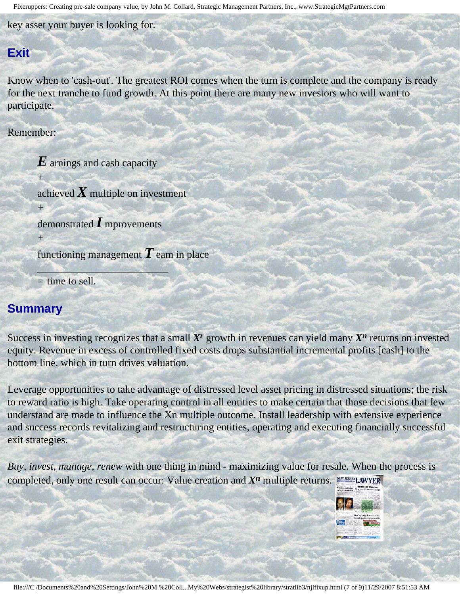key asset your buyer is looking for.

#### **Exit**

Know when to 'cash-out'. The greatest ROI comes when the turn is complete and the company is ready for the next tranche to fund growth. At this point there are many new investors who will want to participate.

Remember:

*+*

*+*

*+*

*E* arnings and cash capacity

achieved  $X$  multiple on investment

demonstrated *I* mprovements

*\_\_\_\_\_\_\_\_\_\_\_\_\_\_\_\_\_\_\_\_\_\_\_\_\_*

functioning management *T* eam in place

*=* time to sell.

#### **Summary**

Success in investing recognizes that a small *Xr* growth in revenues can yield many *Xn* returns on invested equity. Revenue in excess of controlled fixed costs drops substantial incremental profits [cash] to the bottom line, which in turn drives valuation.

Leverage opportunities to take advantage of distressed level asset pricing in distressed situations; the risk to reward ratio is high. Take operating control in all entities to make certain that those decisions that few understand are made to influence the Xn multiple outcome. Install leadership with extensive experience and success records revitalizing and restructuring entities, operating and executing financially successful exit strategies.

<span id="page-6-0"></span>*Buy, invest, manage, renew* with one thing in mind - maximizing value for resale. When the process is completed, only one result can occur: Value creation and *Xn* multiple returns. NEW JERSEY LAWYER

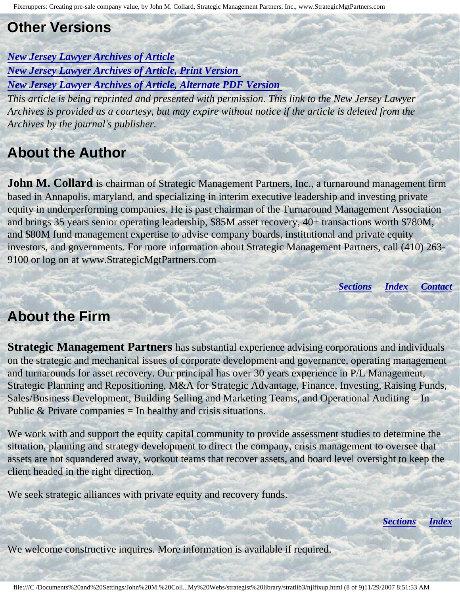## **Other Versions**

*[New Jersey Lawyer Archives of Article](http://www.njlnews.com/articles/2007/06/22/in_re_magazine/f6-collard.txt) [New Jersey Lawyer Archives of Article, Print Version](http://www.njlnews.com/articles/2007/06/22/in_re_magazine/f6-collard.prt) [New Jersey Lawyer Archives of Article, Alternate PDF Version](http://members.aol.com/stratlib3/njlfixp.pdf)* 

*This article is being reprinted and presented with permission. This link to the New Jersey Lawyer Archives is provided as a courtesy, but may expire without notice if the article is deleted from the Archives by the journal's publisher.*

## <span id="page-7-0"></span>**About the Author**

**John M. Collard** is chairman of Strategic Management Partners, Inc., a turnaround management firm based in Annapolis, maryland, and specializing in interim executive leadership and investing private equity in underperforming companies. He is past chairman of the Turnaround Management Association and brings 35 years senior operating leadership, \$85M asset recovery, 40+ transactions worth \$780M, and \$80M fund management expertise to advise company boards, institutional and private equity investors, and governments. For more information about Strategic Management Partners, call (410) 263- 9100 or log on at www.StrategicMgtPartners.com

*[Sections](#page-0-2) [Index](#page-0-3) [Contact](#page-8-0)*

### <span id="page-7-1"></span>**About the Firm**

**Strategic Management Partners** has substantial experience advising corporations and individuals on the strategic and mechanical issues of corporate development and governance, operating management and turnarounds for asset recovery. Our principal has over 30 years experience in P/L Management, Strategic Planning and Repositioning, M&A for Strategic Advantage, Finance, Investing, Raising Funds, Sales/Business Development, Building Selling and Marketing Teams, and Operational Auditing = In Public  $&$  Private companies = In healthy and crisis situations.

We work with and support the equity capital community to provide assessment studies to determine the situation, planning and strategy development to direct the company, crisis management to oversee that assets are not squandered away, workout teams that recover assets, and board level oversight to keep the client headed in the right direction.

We seek strategic alliances with private equity and recovery funds.

*[Sections](#page-0-2) [Index](#page-0-3)*

We welcome constructive inquires. More information is available if required.